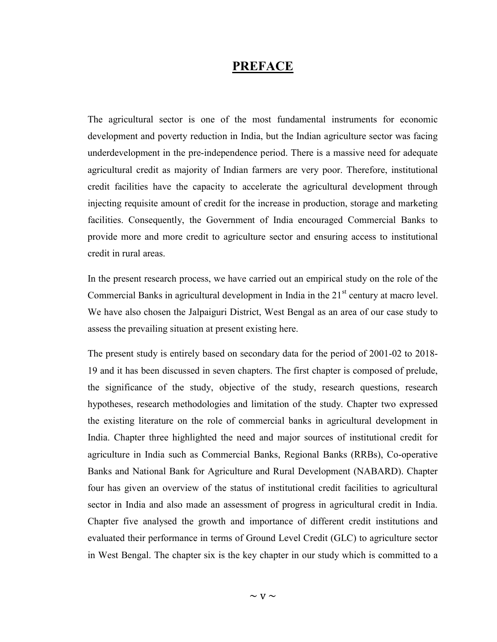## PREFACE

The agricultural sector is one of the most fundamental instruments for economic development and poverty reduction in India, but the Indian agriculture sector was facing underdevelopment in the pre-independence period. There is a massive need for adequate agricultural credit as majority of Indian farmers are very poor. Therefore, institutional credit facilities have the capacity to accelerate the agricultural development through injecting requisite amount of credit for the increase in production, storage and marketing facilities. Consequently, the Government of India encouraged Commercial Banks to provide more and more credit to agriculture sector and ensuring access to institutional credit in rural areas.

In the present research process, we have carried out an empirical study on the role of the Commercial Banks in agricultural development in India in the  $21<sup>st</sup>$  century at macro level. We have also chosen the Jalpaiguri District, West Bengal as an area of our case study to assess the prevailing situation at present existing here.

The present study is entirely based on secondary data for the period of 2001-02 to 2018- 19 and it has been discussed in seven chapters. The first chapter is composed of prelude, the significance of the study, objective of the study, research questions, research hypotheses, research methodologies and limitation of the study. Chapter two expressed the existing literature on the role of commercial banks in agricultural development in India. Chapter three highlighted the need and major sources of institutional credit for agriculture in India such as Commercial Banks, Regional Banks (RRBs), Co-operative Banks and National Bank for Agriculture and Rural Development (NABARD). Chapter four has given an overview of the status of institutional credit facilities to agricultural sector in India and also made an assessment of progress in agricultural credit in India. Chapter five analysed the growth and importance of different credit institutions and evaluated their performance in terms of Ground Level Credit (GLC) to agriculture sector in West Bengal. The chapter six is the key chapter in our study which is committed to a